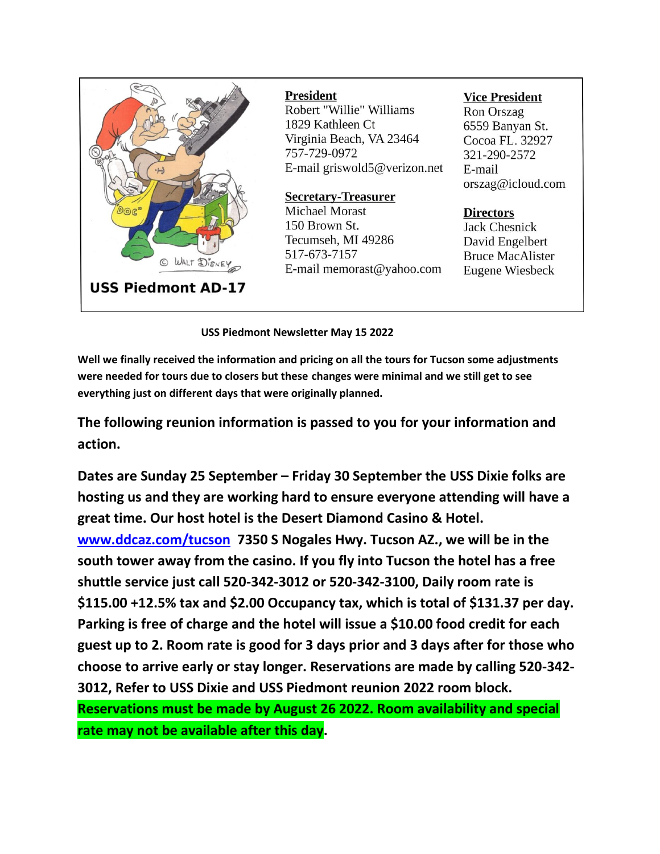

#### **President**

Robert "Willie" Williams 1829 Kathleen Ct Virginia Beach, VA 23464 757-729-0972 E-mail griswold5@verizon.net

# **Secretary-Treasurer**

Michael Morast 150 Brown St. Tecumseh, MI 49286 517-673-7157 E-mail memorast@yahoo.com

# **Vice President**

Ron Orszag 6559 Banyan St. Cocoa FL. 32927 321-290-2572 E-mail orszag@icloud.com

# **Directors**

Jack Chesnick David Engelbert **Bruce MacAlister** Eugene Wiesbeck

**USS Piedmont Newsletter May 15 2022** 

**Well we finally received the information and pricing on all the tours for Tucson some adjustments were needed for tours due to closers but these changes were minimal and we still get to see everything just on different days that were originally planned.**

**The following reunion information is passed to you for your information and action.**

**Dates are Sunday 25 September – Friday 30 September the USS Dixie folks are hosting us and they are working hard to ensure everyone attending will have a great time. Our host hotel is the Desert Diamond Casino & Hotel. [www.ddcaz.com/tucson](http://www.ddcaz.com/tucson) 7350 S Nogales Hwy. Tucson AZ., we will be in the south tower away from the casino. If you fly into Tucson the hotel has a free shuttle service just call 520-342-3012 or 520-342-3100, Daily room rate is \$115.00 +12.5% tax and \$2.00 Occupancy tax, which is total of \$131.37 per day. Parking is free of charge and the hotel will issue a \$10.00 food credit for each guest up to 2. Room rate is good for 3 days prior and 3 days after for those who choose to arrive early or stay longer. Reservations are made by calling 520-342- 3012, Refer to USS Dixie and USS Piedmont reunion 2022 room block.** 

**Reservations must be made by August 26 2022. Room availability and special rate may not be available after this day.**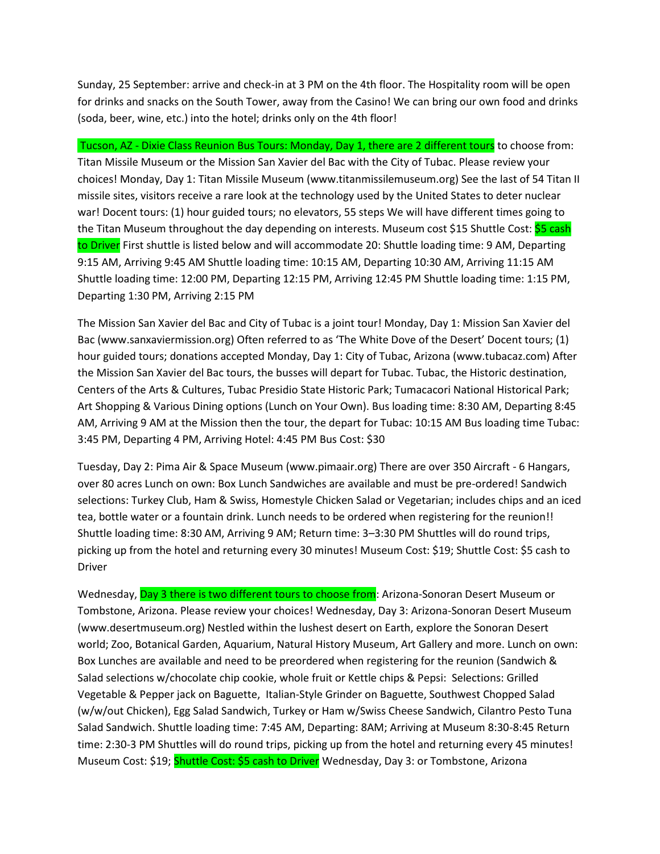Sunday, 25 September: arrive and check-in at 3 PM on the 4th floor. The Hospitality room will be open for drinks and snacks on the South Tower, away from the Casino! We can bring our own food and drinks (soda, beer, wine, etc.) into the hotel; drinks only on the 4th floor!

Tucson, AZ - Dixie Class Reunion Bus Tours: Monday, Day 1, there are 2 different tours to choose from: Titan Missile Museum or the Mission San Xavier del Bac with the City of Tubac. Please review your choices! Monday, Day 1: Titan Missile Museum (www.titanmissilemuseum.org) See the last of 54 Titan II missile sites, visitors receive a rare look at the technology used by the United States to deter nuclear war! Docent tours: (1) hour guided tours; no elevators, 55 steps We will have different times going to the Titan Museum throughout the day depending on interests. Museum cost \$15 Shuttle Cost: \$5 cash to Driver First shuttle is listed below and will accommodate 20: Shuttle loading time: 9 AM, Departing 9:15 AM, Arriving 9:45 AM Shuttle loading time: 10:15 AM, Departing 10:30 AM, Arriving 11:15 AM Shuttle loading time: 12:00 PM, Departing 12:15 PM, Arriving 12:45 PM Shuttle loading time: 1:15 PM, Departing 1:30 PM, Arriving 2:15 PM

The Mission San Xavier del Bac and City of Tubac is a joint tour! Monday, Day 1: Mission San Xavier del Bac (www.sanxaviermission.org) Often referred to as 'The White Dove of the Desert' Docent tours; (1) hour guided tours; donations accepted Monday, Day 1: City of Tubac, Arizona (www.tubacaz.com) After the Mission San Xavier del Bac tours, the busses will depart for Tubac. Tubac, the Historic destination, Centers of the Arts & Cultures, Tubac Presidio State Historic Park; Tumacacori National Historical Park; Art Shopping & Various Dining options (Lunch on Your Own). Bus loading time: 8:30 AM, Departing 8:45 AM, Arriving 9 AM at the Mission then the tour, the depart for Tubac: 10:15 AM Bus loading time Tubac: 3:45 PM, Departing 4 PM, Arriving Hotel: 4:45 PM Bus Cost: \$30

Tuesday, Day 2: Pima Air & Space Museum (www.pimaair.org) There are over 350 Aircraft - 6 Hangars, over 80 acres Lunch on own: Box Lunch Sandwiches are available and must be pre-ordered! Sandwich selections: Turkey Club, Ham & Swiss, Homestyle Chicken Salad or Vegetarian; includes chips and an iced tea, bottle water or a fountain drink. Lunch needs to be ordered when registering for the reunion!! Shuttle loading time: 8:30 AM, Arriving 9 AM; Return time: 3–3:30 PM Shuttles will do round trips, picking up from the hotel and returning every 30 minutes! Museum Cost: \$19; Shuttle Cost: \$5 cash to Driver

Wednesday, Day 3 there is two different tours to choose from: Arizona-Sonoran Desert Museum or Tombstone, Arizona. Please review your choices! Wednesday, Day 3: Arizona-Sonoran Desert Museum (www.desertmuseum.org) Nestled within the lushest desert on Earth, explore the Sonoran Desert world; Zoo, Botanical Garden, Aquarium, Natural History Museum, Art Gallery and more. Lunch on own: Box Lunches are available and need to be preordered when registering for the reunion (Sandwich & Salad selections w/chocolate chip cookie, whole fruit or Kettle chips & Pepsi: Selections: Grilled Vegetable & Pepper jack on Baguette, Italian-Style Grinder on Baguette, Southwest Chopped Salad (w/w/out Chicken), Egg Salad Sandwich, Turkey or Ham w/Swiss Cheese Sandwich, Cilantro Pesto Tuna Salad Sandwich. Shuttle loading time: 7:45 AM, Departing: 8AM; Arriving at Museum 8:30-8:45 Return time: 2:30-3 PM Shuttles will do round trips, picking up from the hotel and returning every 45 minutes! Museum Cost: \$19; Shuttle Cost: \$5 cash to Driver Wednesday, Day 3: or Tombstone, Arizona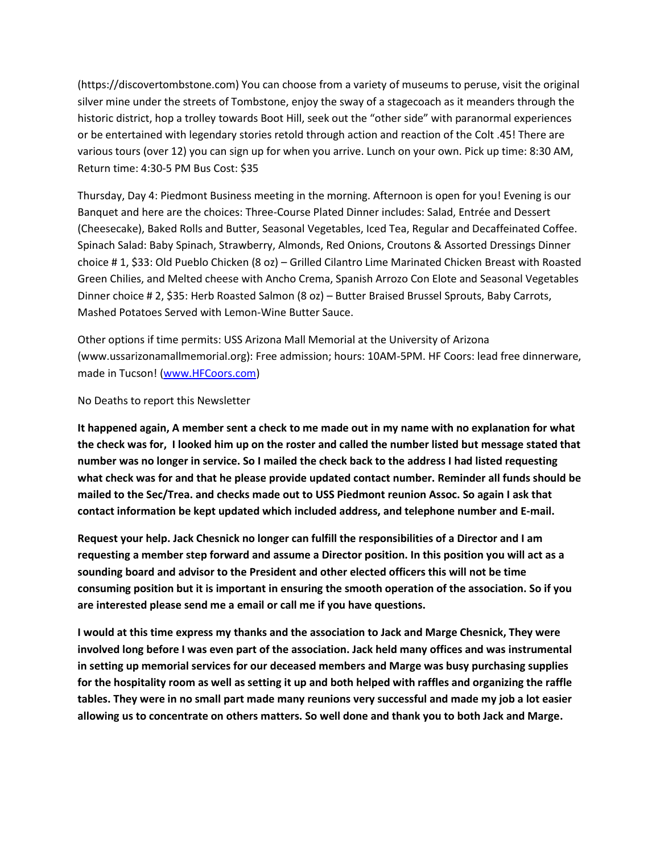(https://discovertombstone.com) You can choose from a variety of museums to peruse, visit the original silver mine under the streets of Tombstone, enjoy the sway of a stagecoach as it meanders through the historic district, hop a trolley towards Boot Hill, seek out the "other side" with paranormal experiences or be entertained with legendary stories retold through action and reaction of the Colt .45! There are various tours (over 12) you can sign up for when you arrive. Lunch on your own. Pick up time: 8:30 AM, Return time: 4:30-5 PM Bus Cost: \$35

Thursday, Day 4: Piedmont Business meeting in the morning. Afternoon is open for you! Evening is our Banquet and here are the choices: Three-Course Plated Dinner includes: Salad, Entrée and Dessert (Cheesecake), Baked Rolls and Butter, Seasonal Vegetables, Iced Tea, Regular and Decaffeinated Coffee. Spinach Salad: Baby Spinach, Strawberry, Almonds, Red Onions, Croutons & Assorted Dressings Dinner choice # 1, \$33: Old Pueblo Chicken (8 oz) – Grilled Cilantro Lime Marinated Chicken Breast with Roasted Green Chilies, and Melted cheese with Ancho Crema, Spanish Arrozo Con Elote and Seasonal Vegetables Dinner choice # 2, \$35: Herb Roasted Salmon (8 oz) – Butter Braised Brussel Sprouts, Baby Carrots, Mashed Potatoes Served with Lemon-Wine Butter Sauce.

Other options if time permits: USS Arizona Mall Memorial at the University of Arizona (www.ussarizonamallmemorial.org): Free admission; hours: 10AM-5PM. HF Coors: lead free dinnerware, made in Tucson! [\(www.HFCoors.com\)](http://www.hfcoors.com/)

#### No Deaths to report this Newsletter

**It happened again, A member sent a check to me made out in my name with no explanation for what the check was for, I looked him up on the roster and called the number listed but message stated that number was no longer in service. So I mailed the check back to the address I had listed requesting what check was for and that he please provide updated contact number. Reminder all funds should be mailed to the Sec/Trea. and checks made out to USS Piedmont reunion Assoc. So again I ask that contact information be kept updated which included address, and telephone number and E-mail.**

**Request your help. Jack Chesnick no longer can fulfill the responsibilities of a Director and I am requesting a member step forward and assume a Director position. In this position you will act as a sounding board and advisor to the President and other elected officers this will not be time consuming position but it is important in ensuring the smooth operation of the association. So if you are interested please send me a email or call me if you have questions.**

**I would at this time express my thanks and the association to Jack and Marge Chesnick, They were involved long before I was even part of the association. Jack held many offices and was instrumental in setting up memorial services for our deceased members and Marge was busy purchasing supplies for the hospitality room as well as setting it up and both helped with raffles and organizing the raffle tables. They were in no small part made many reunions very successful and made my job a lot easier allowing us to concentrate on others matters. So well done and thank you to both Jack and Marge.**